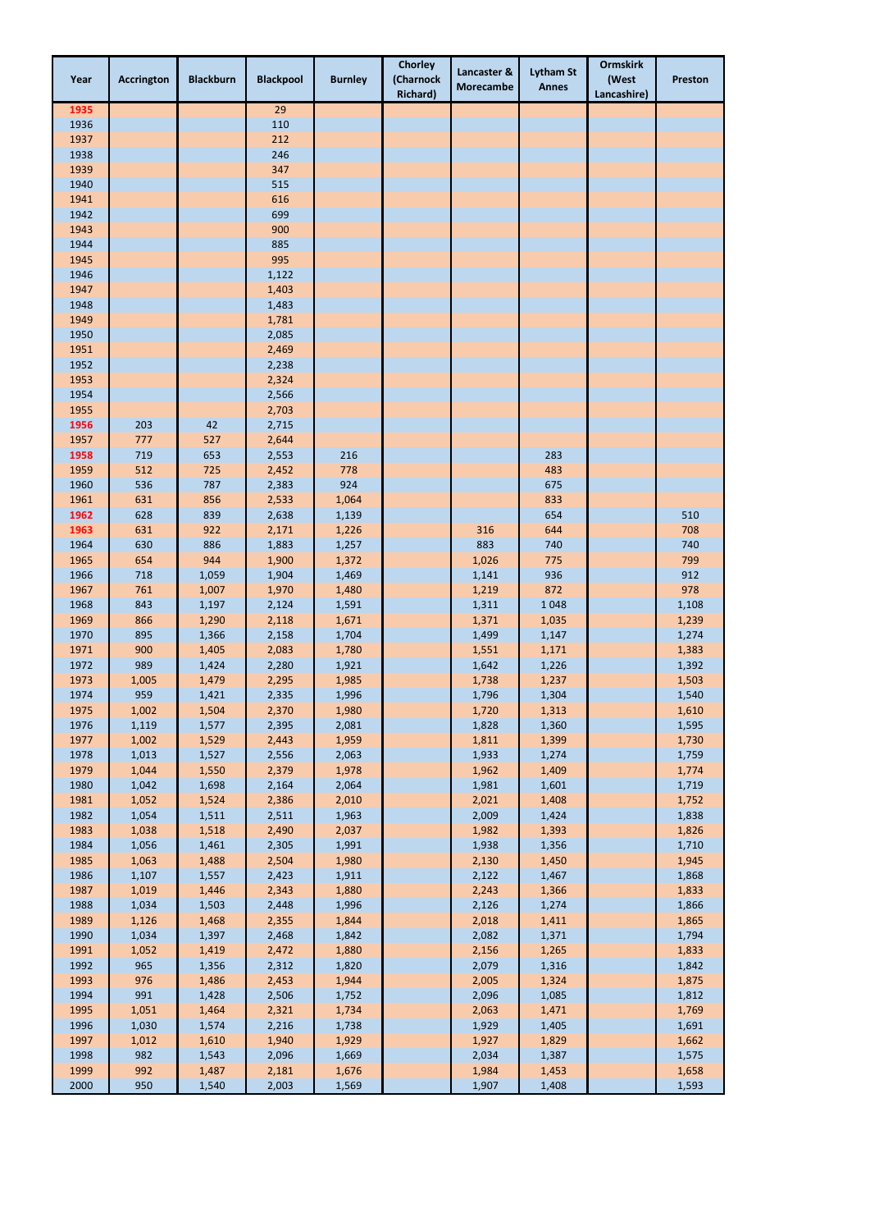| Year         | <b>Accrington</b> | <b>Blackburn</b> | <b>Blackpool</b> | <b>Burnley</b> | <b>Chorley</b><br>(Charnock<br><b>Richard</b> ) | Lancaster &<br><b>Morecambe</b> | <b>Lytham St</b><br><b>Annes</b> | <b>Ormskirk</b><br>(West<br>Lancashire) | <b>Preston</b> |
|--------------|-------------------|------------------|------------------|----------------|-------------------------------------------------|---------------------------------|----------------------------------|-----------------------------------------|----------------|
| 1935         |                   |                  | 29               |                |                                                 |                                 |                                  |                                         |                |
| 1936         |                   |                  | 110              |                |                                                 |                                 |                                  |                                         |                |
| 1937         |                   |                  | 212              |                |                                                 |                                 |                                  |                                         |                |
| 1938<br>1939 |                   |                  | 246<br>347       |                |                                                 |                                 |                                  |                                         |                |
| 1940         |                   |                  | 515              |                |                                                 |                                 |                                  |                                         |                |
| 1941         |                   |                  | 616              |                |                                                 |                                 |                                  |                                         |                |
| 1942         |                   |                  | 699              |                |                                                 |                                 |                                  |                                         |                |
| 1943         |                   |                  | 900              |                |                                                 |                                 |                                  |                                         |                |
| 1944         |                   |                  | 885              |                |                                                 |                                 |                                  |                                         |                |
| 1945         |                   |                  | 995              |                |                                                 |                                 |                                  |                                         |                |
| 1946         |                   |                  | 1,122            |                |                                                 |                                 |                                  |                                         |                |
| 1947         |                   |                  | 1,403            |                |                                                 |                                 |                                  |                                         |                |
| 1948<br>1949 |                   |                  | 1,483<br>1,781   |                |                                                 |                                 |                                  |                                         |                |
| 1950         |                   |                  | 2,085            |                |                                                 |                                 |                                  |                                         |                |
| 1951         |                   |                  | 2,469            |                |                                                 |                                 |                                  |                                         |                |
| 1952         |                   |                  | 2,238            |                |                                                 |                                 |                                  |                                         |                |
| 1953         |                   |                  | 2,324            |                |                                                 |                                 |                                  |                                         |                |
| 1954         |                   |                  | 2,566            |                |                                                 |                                 |                                  |                                         |                |
| 1955         |                   |                  | 2,703            |                |                                                 |                                 |                                  |                                         |                |
| 1956         | 203               | 42               | 2,715            |                |                                                 |                                 |                                  |                                         |                |
| 1957         | 777               | 527              | 2,644            |                |                                                 |                                 |                                  |                                         |                |
| 1958         | 719               | 653              | 2,553            | 216            |                                                 |                                 | 283                              |                                         |                |
| 1959<br>1960 | 512<br>536        | 725<br>787       | 2,452<br>2,383   | 778<br>924     |                                                 |                                 | 483<br>675                       |                                         |                |
| 1961         | 631               | 856              | 2,533            | 1,064          |                                                 |                                 | 833                              |                                         |                |
| 1962         | 628               | 839              | 2,638            | 1,139          |                                                 |                                 | 654                              |                                         | 510            |
| 1963         | 631               | 922              | 2,171            | 1,226          |                                                 | 316                             | 644                              |                                         | 708            |
| 1964         | 630               | 886              | 1,883            | 1,257          |                                                 | 883                             | 740                              |                                         | 740            |
| 1965         | 654               | 944              | 1,900            | 1,372          |                                                 | 1,026                           | 775                              |                                         | 799            |
| 1966         | 718               | 1,059            | 1,904            | 1,469          |                                                 | 1,141                           | 936                              |                                         | 912            |
| 1967         | 761               | 1,007            | 1,970            | 1,480          |                                                 | 1,219                           | 872                              |                                         | 978            |
| 1968         | 843               | 1,197            | 2,124            | 1,591          |                                                 | 1,311                           | 1048                             |                                         | 1,108          |
| 1969         | 866               | 1,290            | 2,118            | 1,671          |                                                 | 1,371                           | 1,035                            |                                         | 1,239          |
| 1970<br>1971 | 895<br>900        | 1,366<br>1,405   | 2,158<br>2,083   | 1,704<br>1,780 |                                                 | 1,499<br>1,551                  | 1,147<br>1,171                   |                                         | 1,274<br>1,383 |
| 1972         | 989               | 1,424            | 2,280            | 1,921          |                                                 | 1,642                           | 1,226                            |                                         | 1,392          |
| 1973         | 1,005             | 1,479            | 2,295            | 1,985          |                                                 | 1,738                           | 1,237                            |                                         | 1,503          |
| 1974         | 959               | 1,421            | 2,335            | 1,996          |                                                 | 1,796                           | 1,304                            |                                         | 1,540          |
| 1975         | 1,002             | 1,504            | 2,370            | 1,980          |                                                 | 1,720                           | 1,313                            |                                         | 1,610          |
| 1976         | 1,119             | 1,577            | 2,395            | 2,081          |                                                 | 1,828                           | 1,360                            |                                         | 1,595          |
| 1977         | 1,002             | 1,529            | 2,443            | 1,959          |                                                 | 1,811                           | 1,399                            |                                         | 1,730          |
| 1978         | 1,013             | 1,527            | 2,556            | 2,063          |                                                 | 1,933                           | 1,274                            |                                         | 1,759          |
| 1979         | 1,044             | 1,550            | 2,379            | 1,978          |                                                 | 1,962                           | 1,409                            |                                         | 1,774          |
| 1980         | 1,042             | 1,698            | 2,164            | 2,064          |                                                 | 1,981                           | 1,601                            |                                         | 1,719          |
| 1981<br>1982 | 1,052<br>1,054    | 1,524<br>1,511   | 2,386<br>2,511   | 2,010<br>1,963 |                                                 | 2,021<br>2,009                  | 1,408<br>1,424                   |                                         | 1,752<br>1,838 |
| 1983         | 1,038             | 1,518            | 2,490            | 2,037          |                                                 | 1,982                           | 1,393                            |                                         | 1,826          |
| 1984         | 1,056             | 1,461            | 2,305            | 1,991          |                                                 | 1,938                           | 1,356                            |                                         | 1,710          |
| 1985         | 1,063             | 1,488            | 2,504            | 1,980          |                                                 | 2,130                           | 1,450                            |                                         | 1,945          |
| 1986         | 1,107             | 1,557            | 2,423            | 1,911          |                                                 | 2,122                           | 1,467                            |                                         | 1,868          |
| 1987         | 1,019             | 1,446            | 2,343            | 1,880          |                                                 | 2,243                           | 1,366                            |                                         | 1,833          |
| 1988         | 1,034             | 1,503            | 2,448            | 1,996          |                                                 | 2,126                           | 1,274                            |                                         | 1,866          |
| 1989         | 1,126             | 1,468            | 2,355            | 1,844          |                                                 | 2,018                           | 1,411                            |                                         | 1,865          |
| 1990         | 1,034             | 1,397            | 2,468            | 1,842          |                                                 | 2,082                           | 1,371                            |                                         | 1,794          |
| 1991<br>1992 | 1,052<br>965      | 1,419<br>1,356   | 2,472<br>2,312   | 1,880<br>1,820 |                                                 | 2,156<br>2,079                  | 1,265<br>1,316                   |                                         | 1,833<br>1,842 |
| 1993         | 976               | 1,486            | 2,453            | 1,944          |                                                 | 2,005                           | 1,324                            |                                         | 1,875          |
| 1994         | 991               | 1,428            | 2,506            | 1,752          |                                                 | 2,096                           | 1,085                            |                                         | 1,812          |
| 1995         | 1,051             | 1,464            | 2,321            | 1,734          |                                                 | 2,063                           | 1,471                            |                                         | 1,769          |
| 1996         | 1,030             | 1,574            | 2,216            | 1,738          |                                                 | 1,929                           | 1,405                            |                                         | 1,691          |
| 1997         | 1,012             | 1,610            | 1,940            | 1,929          |                                                 | 1,927                           | 1,829                            |                                         | 1,662          |
| 1998         | 982               | 1,543            | 2,096            | 1,669          |                                                 | 2,034                           | 1,387                            |                                         | 1,575          |
| 1999         | 992               | 1,487            | 2,181            | 1,676          |                                                 | 1,984                           | 1,453                            |                                         | 1,658          |
| 2000         | 950               | 1,540            | 2,003            | 1,569          |                                                 | 1,907                           | 1,408                            |                                         | 1,593          |